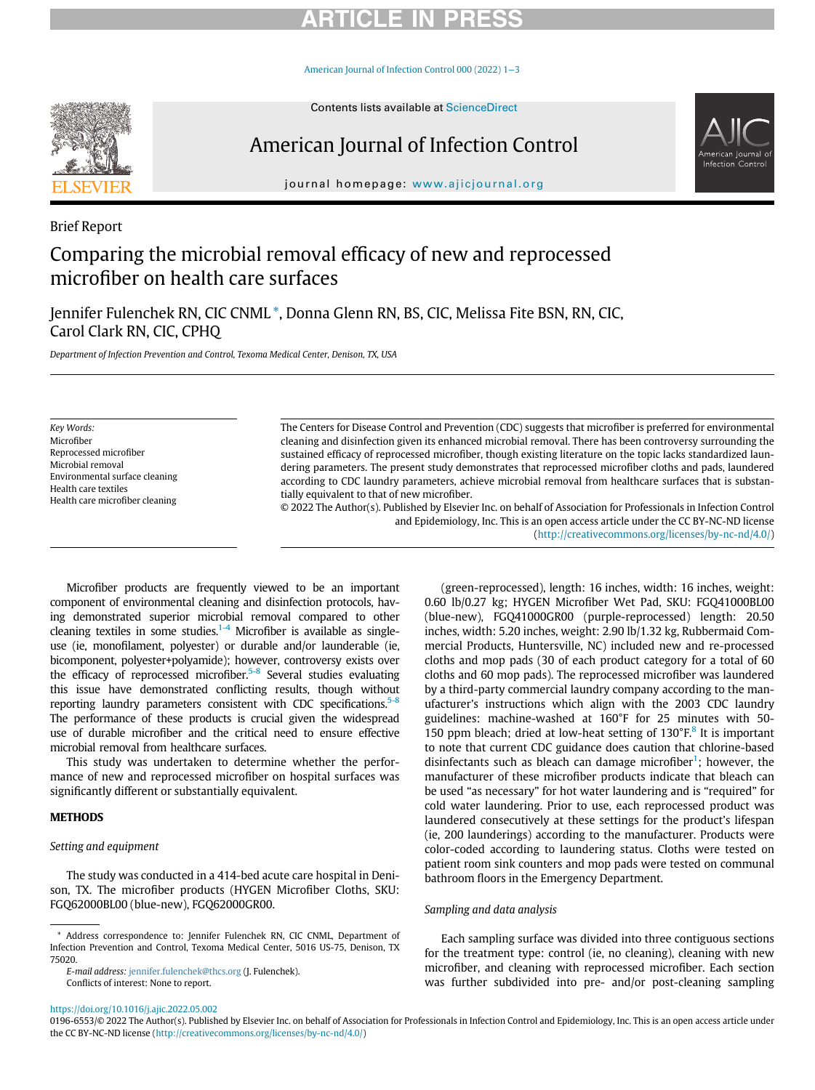# **RTICLE IN PR**

[American Journal of Infection Control 000 \(2022\) 1](https://doi.org/10.1016/j.ajic.2022.05.002)−3



# American Journal of Infection Control



journal homepage: [www.ajicjournal.org](http://www.ajicjournal.org)

### Brief Report

## Comparing the microbial removal efficacy of new and reprocessed microfiber on health care surfaces

Jennifer Fulenchek RN, CIC CNML [\\*](#page-0-0), Donna Glenn RN, BS, CIC, Melissa Fite BSN, RN, CIC, Carol Clark RN, CIC, CPHQ

Department of Infection Prevention and Control, Texoma Medical Center, Denison, TX, USA

Key Words: Microfiber Reprocessed microfiber Microbial removal Environmental surface cleaning Health care textiles Health care microfiber cleaning

The Centers for Disease Control and Prevention (CDC) suggests that microfiber is preferred for environmental cleaning and disinfection given its enhanced microbial removal. There has been controversy surrounding the sustained efficacy of reprocessed microfiber, though existing literature on the topic lacks standardized laundering parameters. The present study demonstrates that reprocessed microfiber cloths and pads, laundered according to CDC laundry parameters, achieve microbial removal from healthcare surfaces that is substantially equivalent to that of new microfiber.

© 2022 The Author(s). Published by Elsevier Inc. on behalf of Association for Professionals in Infection Control and Epidemiology, Inc. This is an open access article under the CC BY-NC-ND license [\(http://creativecommons.org/licenses/by-nc-nd/4.0/](http://creativecommons.org/licenses/by-nc-nd/4.0/))

Microfiber products are frequently viewed to be an important component of environmental cleaning and disinfection protocols, having demonstrated superior microbial removal compared to other cleaning textiles in some studies.<sup>[1-4](#page-2-0)</sup> Microfiber is available as singleuse (ie, monofilament, polyester) or durable and/or launderable (ie, bicomponent, polyester+polyamide); however, controversy exists over the efficacy of reprocessed microfiber. $5-8$  Several studies evaluating this issue have demonstrated conflicting results, though without reporting laundry parameters consistent with CDC specifications. $5-8$ The performance of these products is crucial given the widespread use of durable microfiber and the critical need to ensure effective microbial removal from healthcare surfaces.

This study was undertaken to determine whether the performance of new and reprocessed microfiber on hospital surfaces was significantly different or substantially equivalent.

#### **METHODS**

#### Setting and equipment

The study was conducted in a 414-bed acute care hospital in Denison, TX. The microfiber products (HYGEN Microfiber Cloths, SKU: FGQ62000BL00 (blue-new), FGQ62000GR00.

<span id="page-0-0"></span>\* Address correspondence to: Jennifer Fulenchek RN, CIC CNML, Department of Infection Prevention and Control, Texoma Medical Center, 5016 US-75, Denison, TX 75020.

E-mail address: [jennifer.fulenchek@thcs.org](mailto:jennifer.fulenchek@thcs.org) (J. Fulenchek). Conflicts of interest: None to report.

(green-reprocessed), length: 16 inches, width: 16 inches, weight: 0.60 lb/0.27 kg; HYGEN Microfiber Wet Pad, SKU: FGQ41000BL00 (blue-new), FGQ41000GR00 (purple-reprocessed) length: 20.50 inches, width: 5.20 inches, weight: 2.90 lb/1.32 kg, Rubbermaid Commercial Products, Huntersville, NC) included new and re-processed cloths and mop pads (30 of each product category for a total of 60 cloths and 60 mop pads). The reprocessed microfiber was laundered by a third-party commercial laundry company according to the manufacturer's instructions which align with the 2003 CDC laundry guidelines: machine-washed at 160°F for 25 minutes with 50- 150 ppm bleach; dried at low-heat setting of  $130^{\circ}$ F.<sup>[8](#page-2-2)</sup> It is important to note that current CDC guidance does caution that chlorine-based disinfectants such as bleach can damage microfiber<sup>[1](#page-2-0)</sup>; however, the manufacturer of these microfiber products indicate that bleach can be used "as necessary" for hot water laundering and is "required" for cold water laundering. Prior to use, each reprocessed product was laundered consecutively at these settings for the product's lifespan (ie, 200 launderings) according to the manufacturer. Products were color-coded according to laundering status. Cloths were tested on patient room sink counters and mop pads were tested on communal bathroom floors in the Emergency Department.

#### Sampling and data analysis

Each sampling surface was divided into three contiguous sections for the treatment type: control (ie, no cleaning), cleaning with new microfiber, and cleaning with reprocessed microfiber. Each section was further subdivided into pre- and/or post-cleaning sampling

<https://doi.org/10.1016/j.ajic.2022.05.002>

<sup>0196-6553/© 2022</sup> The Author(s). Published by Elsevier Inc. on behalf of Association for Professionals in Infection Control and Epidemiology, Inc. This is an open access article under the CC BY-NC-ND license ([http://creativecommons.org/licenses/by-nc-nd/4.0/\)](http://creativecommons.org/licenses/by-nc-nd/4.0/)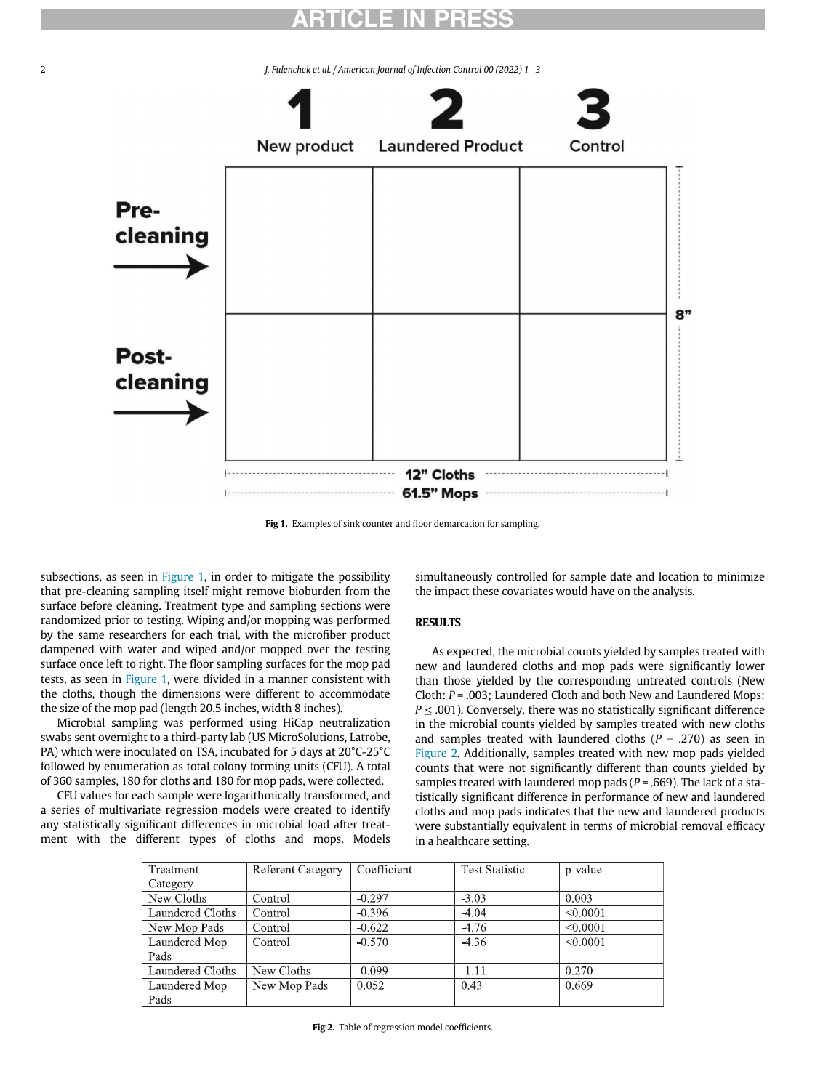# ARTICLE IN PRESS

<span id="page-1-0"></span>2 J. Fulenchek et al. / American Journal of Infection Control 00 (2022) 1−3



Fig 1. Examples of sink counter and floor demarcation for sampling.

subsections, as seen in [Figure 1,](#page-1-0) in order to mitigate the possibility that pre-cleaning sampling itself might remove bioburden from the surface before cleaning. Treatment type and sampling sections were randomized prior to testing. Wiping and/or mopping was performed by the same researchers for each trial, with the microfiber product dampened with water and wiped and/or mopped over the testing surface once left to right. The floor sampling surfaces for the mop pad tests, as seen in [Figure 1](#page-1-0), were divided in a manner consistent with the cloths, though the dimensions were different to accommodate the size of the mop pad (length 20.5 inches, width 8 inches).

Microbial sampling was performed using HiCap neutralization swabs sent overnight to a third-party lab (US MicroSolutions, Latrobe, PA) which were inoculated on TSA, incubated for 5 days at 20°C-25°C followed by enumeration as total colony forming units (CFU). A total of 360 samples, 180 for cloths and 180 for mop pads, were collected.

<span id="page-1-1"></span>CFU values for each sample were logarithmically transformed, and a series of multivariate regression models were created to identify any statistically significant differences in microbial load after treatment with the different types of cloths and mops. Models simultaneously controlled for sample date and location to minimize the impact these covariates would have on the analysis.

### **RESULTS**

As expected, the microbial counts yielded by samples treated with new and laundered cloths and mop pads were significantly lower than those yielded by the corresponding untreated controls (New Cloth:  $P = .003$ ; Laundered Cloth and both New and Laundered Mops:  $P \leq .001$ ). Conversely, there was no statistically significant difference in the microbial counts yielded by samples treated with new cloths and samples treated with laundered cloths ( $P = .270$ ) as seen in [Figure 2](#page-1-1). Additionally, samples treated with new mop pads yielded counts that were not significantly different than counts yielded by samples treated with laundered mop pads ( $P = .669$ ). The lack of a statistically significant difference in performance of new and laundered cloths and mop pads indicates that the new and laundered products were substantially equivalent in terms of microbial removal efficacy in a healthcare setting.

| Treatment        | <b>Referent Category</b> | Coefficient | <b>Test Statistic</b> | p-value  |
|------------------|--------------------------|-------------|-----------------------|----------|
| Category         |                          |             |                       |          |
| New Cloths       | Control                  | $-0.297$    | $-3.03$               | 0.003    |
| Laundered Cloths | Control                  | $-0.396$    | $-4.04$               | < 0.0001 |
| New Mop Pads     | Control                  | $-0.622$    | $-4.76$               | < 0.0001 |
| Laundered Mop    | Control                  | $-0.570$    | $-4.36$               | < 0.0001 |
| Pads             |                          |             |                       |          |
| Laundered Cloths | New Cloths               | $-0.099$    | $-1.11$               | 0.270    |
| Laundered Mop    | New Mop Pads             | 0.052       | 0.43                  | 0.669    |
| Pads             |                          |             |                       |          |

Fig 2. Table of regression model coefficients.